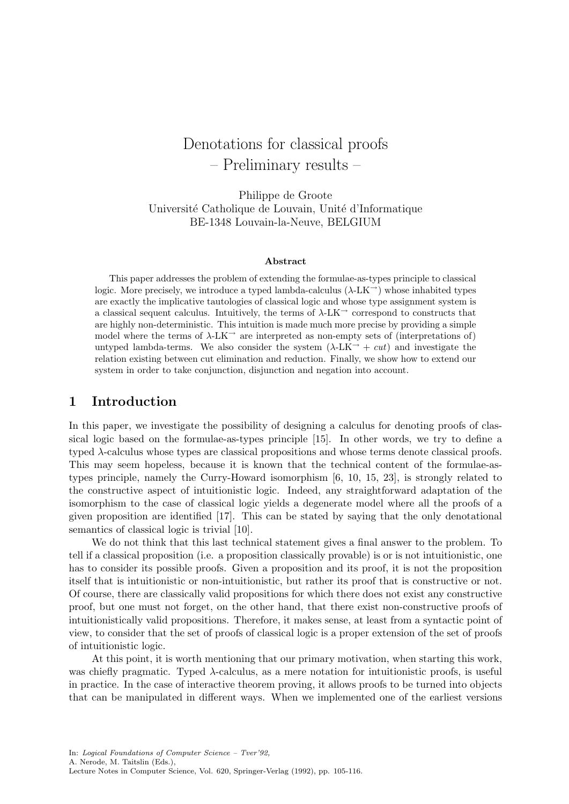# Denotations for classical proofs – Preliminary results –

Philippe de Groote Université Catholique de Louvain, Unité d'Informatique BE-1348 Louvain-la-Neuve, BELGIUM

#### Abstract

This paper addresses the problem of extending the formulae-as-types principle to classical logic. More precisely, we introduce a typed lambda-calculus  $(\lambda$ -LK<sup> $\rightarrow$ </sup>) whose inhabited types are exactly the implicative tautologies of classical logic and whose type assignment system is a classical sequent calculus. Intuitively, the terms of  $\lambda$ -LK<sup> $\rightarrow$ </sup> correspond to constructs that are highly non-deterministic. This intuition is made much more precise by providing a simple model where the terms of  $\lambda$ -LK<sup> $\rightarrow$ </sup> are interpreted as non-empty sets of (interpretations of) untyped lambda-terms. We also consider the system  $(\lambda - LK^{\rightarrow} + cut)$  and investigate the relation existing between cut elimination and reduction. Finally, we show how to extend our system in order to take conjunction, disjunction and negation into account.

# 1 Introduction

In this paper, we investigate the possibility of designing a calculus for denoting proofs of classical logic based on the formulae-as-types principle [15]. In other words, we try to define a typed λ-calculus whose types are classical propositions and whose terms denote classical proofs. This may seem hopeless, because it is known that the technical content of the formulae-astypes principle, namely the Curry-Howard isomorphism [6, 10, 15, 23], is strongly related to the constructive aspect of intuitionistic logic. Indeed, any straightforward adaptation of the isomorphism to the case of classical logic yields a degenerate model where all the proofs of a given proposition are identified [17]. This can be stated by saying that the only denotational semantics of classical logic is trivial [10].

We do not think that this last technical statement gives a final answer to the problem. To tell if a classical proposition (i.e. a proposition classically provable) is or is not intuitionistic, one has to consider its possible proofs. Given a proposition and its proof, it is not the proposition itself that is intuitionistic or non-intuitionistic, but rather its proof that is constructive or not. Of course, there are classically valid propositions for which there does not exist any constructive proof, but one must not forget, on the other hand, that there exist non-constructive proofs of intuitionistically valid propositions. Therefore, it makes sense, at least from a syntactic point of view, to consider that the set of proofs of classical logic is a proper extension of the set of proofs of intuitionistic logic.

At this point, it is worth mentioning that our primary motivation, when starting this work, was chiefly pragmatic. Typed  $\lambda$ -calculus, as a mere notation for intuitionistic proofs, is useful in practice. In the case of interactive theorem proving, it allows proofs to be turned into objects that can be manipulated in different ways. When we implemented one of the earliest versions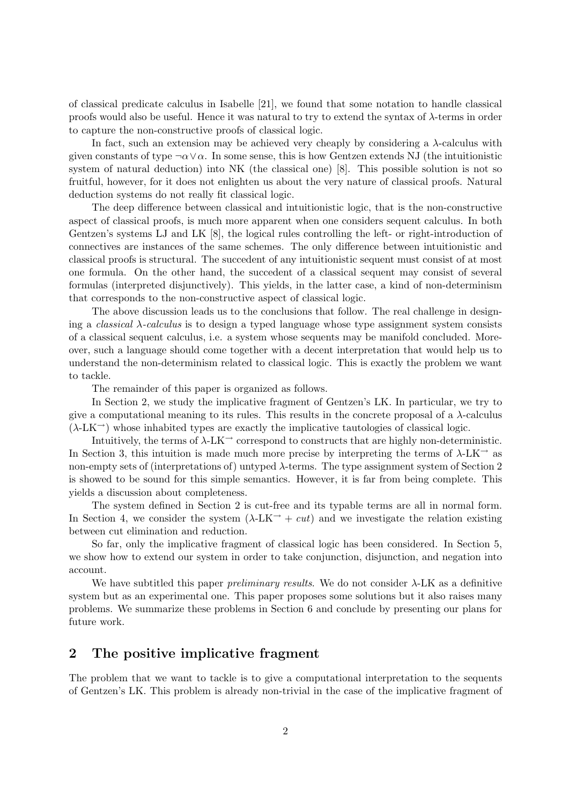of classical predicate calculus in Isabelle [21], we found that some notation to handle classical proofs would also be useful. Hence it was natural to try to extend the syntax of λ-terms in order to capture the non-constructive proofs of classical logic.

In fact, such an extension may be achieved very cheaply by considering a  $\lambda$ -calculus with given constants of type  $\neg \alpha \vee \alpha$ . In some sense, this is how Gentzen extends NJ (the intuitionistic system of natural deduction) into NK (the classical one) [8]. This possible solution is not so fruitful, however, for it does not enlighten us about the very nature of classical proofs. Natural deduction systems do not really fit classical logic.

The deep difference between classical and intuitionistic logic, that is the non-constructive aspect of classical proofs, is much more apparent when one considers sequent calculus. In both Gentzen's systems LJ and LK [8], the logical rules controlling the left- or right-introduction of connectives are instances of the same schemes. The only difference between intuitionistic and classical proofs is structural. The succedent of any intuitionistic sequent must consist of at most one formula. On the other hand, the succedent of a classical sequent may consist of several formulas (interpreted disjunctively). This yields, in the latter case, a kind of non-determinism that corresponds to the non-constructive aspect of classical logic.

The above discussion leads us to the conclusions that follow. The real challenge in designing a *classical*  $\lambda$ -calculus is to design a typed language whose type assignment system consists of a classical sequent calculus, i.e. a system whose sequents may be manifold concluded. Moreover, such a language should come together with a decent interpretation that would help us to understand the non-determinism related to classical logic. This is exactly the problem we want to tackle.

The remainder of this paper is organized as follows.

In Section 2, we study the implicative fragment of Gentzen's LK. In particular, we try to give a computational meaning to its rules. This results in the concrete proposal of a  $\lambda$ -calculus  $(\lambda$ -LK<sup>--</sup>) whose inhabited types are exactly the implicative tautologies of classical logic.

Intuitively, the terms of  $\lambda$ -LK<sup> $\rightarrow$ </sup> correspond to constructs that are highly non-deterministic. In Section 3, this intuition is made much more precise by interpreting the terms of  $\lambda$ -LK<sup> $\rightarrow$ </sup> as non-empty sets of (interpretations of) untyped  $\lambda$ -terms. The type assignment system of Section 2 is showed to be sound for this simple semantics. However, it is far from being complete. This yields a discussion about completeness.

The system defined in Section 2 is cut-free and its typable terms are all in normal form. In Section 4, we consider the system  $(\lambda - LK^{\rightarrow} + cut)$  and we investigate the relation existing between cut elimination and reduction.

So far, only the implicative fragment of classical logic has been considered. In Section 5, we show how to extend our system in order to take conjunction, disjunction, and negation into account.

We have subtitled this paper *preliminary results*. We do not consider  $\lambda$ -LK as a definitive system but as an experimental one. This paper proposes some solutions but it also raises many problems. We summarize these problems in Section 6 and conclude by presenting our plans for future work.

# 2 The positive implicative fragment

The problem that we want to tackle is to give a computational interpretation to the sequents of Gentzen's LK. This problem is already non-trivial in the case of the implicative fragment of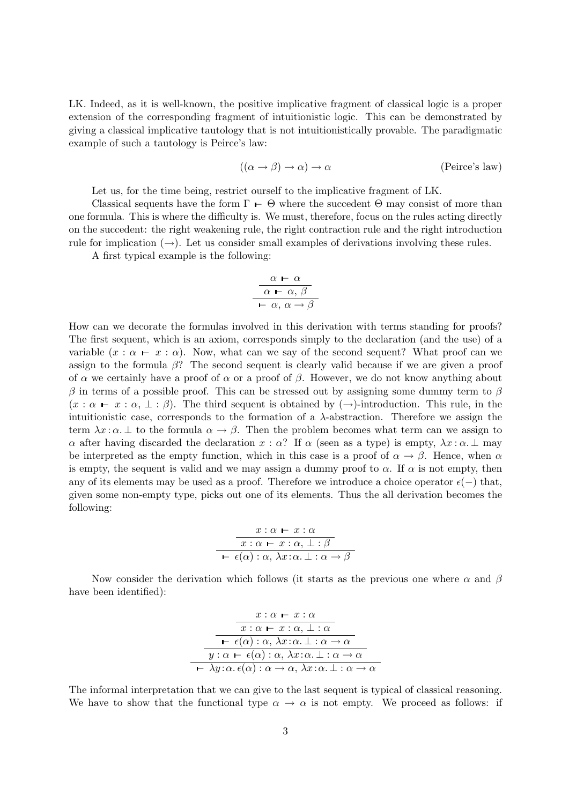LK. Indeed, as it is well-known, the positive implicative fragment of classical logic is a proper extension of the corresponding fragment of intuitionistic logic. This can be demonstrated by giving a classical implicative tautology that is not intuitionistically provable. The paradigmatic example of such a tautology is Peirce's law:

$$
((\alpha \to \beta) \to \alpha) \to \alpha \qquad \qquad \text{(Peirce's law)}
$$

Let us, for the time being, restrict ourself to the implicative fragment of LK.

Classical sequents have the form  $\Gamma \vdash \Theta$  where the succedent  $\Theta$  may consist of more than one formula. This is where the difficulty is. We must, therefore, focus on the rules acting directly on the succedent: the right weakening rule, the right contraction rule and the right introduction rule for implication  $(\rightarrow)$ . Let us consider small examples of derivations involving these rules.

A first typical example is the following:

$$
\frac{\alpha \vdash \alpha}{\alpha \vdash \alpha, \beta}
$$
  

$$
\vdash \alpha, \alpha \rightarrow \beta
$$

How can we decorate the formulas involved in this derivation with terms standing for proofs? The first sequent, which is an axiom, corresponds simply to the declaration (and the use) of a variable  $(x : \alpha \vdash x : \alpha)$ . Now, what can we say of the second sequent? What proof can we assign to the formula  $\beta$ ? The second sequent is clearly valid because if we are given a proof of  $\alpha$  we certainly have a proof of  $\alpha$  or a proof of  $\beta$ . However, we do not know anything about β in terms of a possible proof. This can be stressed out by assigning some dummy term to β  $(x : \alpha \vdash x : \alpha, \bot : \beta)$ . The third sequent is obtained by  $(\rightarrow)$ -introduction. This rule, in the intuitionistic case, corresponds to the formation of a  $\lambda$ -abstraction. Therefore we assign the term  $\lambda x : \alpha \perp$  to the formula  $\alpha \to \beta$ . Then the problem becomes what term can we assign to α after having discarded the declaration  $x : \alpha$ ? If  $\alpha$  (seen as a type) is empty,  $\lambda x : \alpha \perp$  may be interpreted as the empty function, which in this case is a proof of  $\alpha \to \beta$ . Hence, when  $\alpha$ is empty, the sequent is valid and we may assign a dummy proof to  $\alpha$ . If  $\alpha$  is not empty, then any of its elements may be used as a proof. Therefore we introduce a choice operator  $\epsilon(-)$  that, given some non-empty type, picks out one of its elements. Thus the all derivation becomes the following:

$$
\frac{x:\alpha \vdash x:\alpha}{x:\alpha \vdash x:\alpha, \perp : \beta}
$$
  
 
$$
\vdash \epsilon(\alpha):\alpha, \lambda x:\alpha. \perp : \alpha \rightarrow \beta
$$

Now consider the derivation which follows (it starts as the previous one where  $\alpha$  and  $\beta$ have been identified):

$$
\begin{array}{c}\n x:\alpha \vdash x:\alpha \\
 \hline\n x:\alpha \vdash x:\alpha \\
 \hline\n \vdash \epsilon(\alpha):\alpha,\lambda x:\alpha.\bot:\alpha \rightarrow \alpha \\
 \hline\n y:\alpha \vdash \epsilon(\alpha):\alpha,\lambda x:\alpha.\bot:\alpha \rightarrow \alpha \\
 \hline\n \vdash \lambda y:\alpha.\epsilon(\alpha):\alpha \rightarrow \alpha,\lambda x:\alpha.\bot:\alpha \rightarrow \alpha\n\end{array}
$$

The informal interpretation that we can give to the last sequent is typical of classical reasoning. We have to show that the functional type  $\alpha \to \alpha$  is not empty. We proceed as follows: if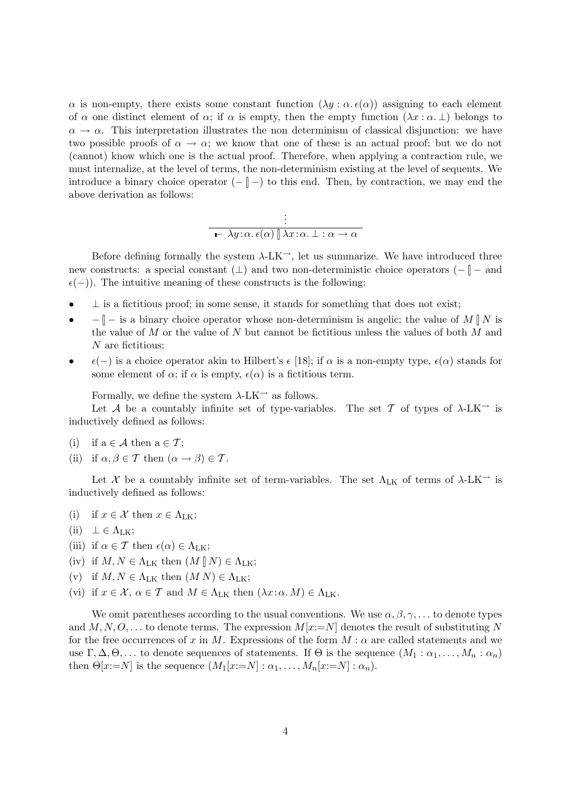$\alpha$  is non-empty, there exists some constant function  $(\lambda y : \alpha \cdot \epsilon(\alpha))$  assigning to each element of  $\alpha$  one distinct element of  $\alpha$ ; if  $\alpha$  is empty, then the empty function  $(\lambda x : \alpha, \perp)$  belongs to  $\alpha \to \alpha$ . This interpretation illustrates the non determinism of classical disjunction: we have two possible proofs of  $\alpha \to \alpha$ ; we know that one of these is an actual proof; but we do not (cannot) know which one is the actual proof. Therefore, when applying a contraction rule, we must internalize, at the level of terms, the non-determinism existing at the level of sequents. We introduce a binary choice operator  $(- \nightharpoonup -)$  to this end. Then, by contraction, we may end the above derivation as follows:

$$
\vdots
$$
  
\n
$$
\vdots
$$
  
\n
$$
\vdots
$$
  
\n
$$
\lambda y : \alpha. \epsilon(\alpha) \parallel \lambda x : \alpha. \bot : \alpha \to \alpha
$$

Before defining formally the system  $\lambda$ -LK<sup> $\rightarrow$ </sup>, let us summarize. We have introduced three new constructs: a special constant  $(\perp)$  and two non-deterministic choice operators  $(- \parallel -$  and  $\epsilon(-)$ ). The intuitive meaning of these constructs is the following:

- $\perp$  is a fictitious proof; in some sense, it stands for something that does not exist;
- $-$  is a binary choice operator whose non-determinism is angelic; the value of M | N is the value of M or the value of N but cannot be fictitious unless the values of both M and  $N$  are fictitious;
- $\epsilon(-)$  is a choice operator akin to Hilbert's  $\epsilon$  [18]; if  $\alpha$  is a non-empty type,  $\epsilon(\alpha)$  stands for some element of  $\alpha$ ; if  $\alpha$  is empty,  $\epsilon(\alpha)$  is a fictitious term.

Formally, we define the system  $\lambda$ -LK<sup> $\rightarrow$ </sup> as follows.

Let A be a countably infinite set of type-variables. The set T of types of  $\lambda$ -LK<sup> $\rightarrow$ </sup> is inductively defined as follows:

- (i) if  $a \in \mathcal{A}$  then  $a \in \mathcal{T}$ ;
- (ii) if  $\alpha, \beta \in \mathcal{T}$  then  $(\alpha \to \beta) \in \mathcal{T}$ .

Let X be a countably infinite set of term-variables. The set  $\Lambda_{LK}$  of terms of  $\lambda$ -LK<sup> $\rightarrow$ </sup> is inductively defined as follows:

- (i) if  $x \in \mathcal{X}$  then  $x \in \Lambda_{LK}$ ;
- (ii)  $\perp \in \Lambda_{LK}$ ;
- (iii) if  $\alpha \in \mathcal{T}$  then  $\epsilon(\alpha) \in \Lambda_{LK};$
- (iv) if  $M, N \in \Lambda_{LK}$  then  $(M \parallel N) \in \Lambda_{LK};$
- (v) if  $M, N \in \Lambda_{LK}$  then  $(M N) \in \Lambda_{LK}$ ;
- (vi) if  $x \in \mathcal{X}$ ,  $\alpha \in \mathcal{T}$  and  $M \in \Lambda_{LK}$  then  $(\lambda x : \alpha \cdot M) \in \Lambda_{LK}$ .

We omit parentheses according to the usual conventions. We use  $\alpha, \beta, \gamma, \ldots$  to denote types and  $M, N, O, \ldots$  to denote terms. The expression  $M[x:=N]$  denotes the result of substituting N for the free occurrences of x in M. Expressions of the form  $M : \alpha$  are called statements and we use  $\Gamma, \Delta, \Theta, \ldots$  to denote sequences of statements. If  $\Theta$  is the sequence  $(M_1 : \alpha_1, \ldots, M_n : \alpha_n)$ then  $\Theta[x:=N]$  is the sequence  $(M_1[x:=N]:\alpha_1,\ldots,M_n[x:=N]:\alpha_n)$ .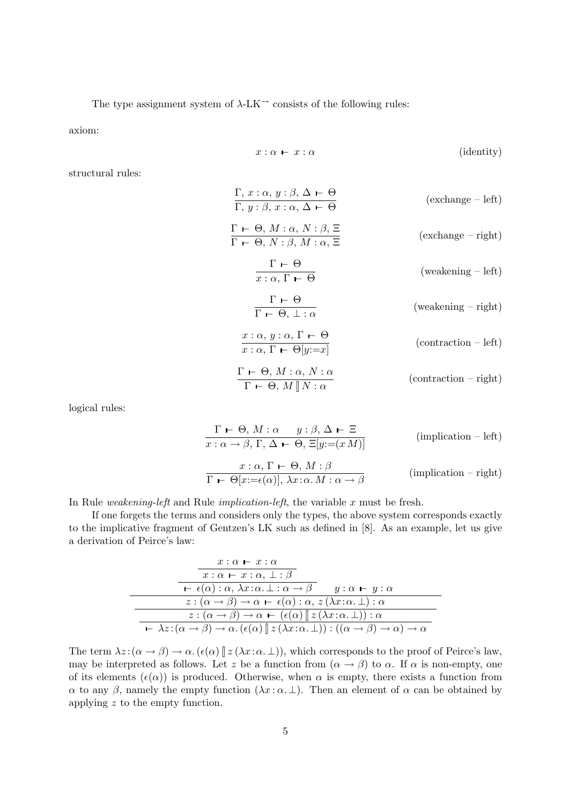The type assignment system of  $\lambda$ -LK<sup> $\rightarrow$ </sup> consists of the following rules:

axiom:

$$
x : \alpha \vdash x : \alpha \tag{identity}
$$

structural rules:

| $\Gamma, x : \alpha, y : \beta, \Delta \vdash \Theta$ | (exchange - left)                  |                    |
|-------------------------------------------------------|------------------------------------|--------------------|
| $\Gamma, y : \beta, x : \alpha, \Delta \vdash \Theta$ | (exchange - left)                  |                    |
| $\Gamma \vdash \Theta, M : \alpha, N : \beta, \Xi$    | (exchange - right)                 |                    |
| $\Gamma \vdash \Theta$                                | $x : \alpha, \Gamma \vdash \Theta$ | (weakening - left) |
| $\Gamma \vdash \Theta$                                | (weakening - left)                 |                    |
| $\Gamma \vdash \Theta, \bot : \alpha$                 | (weakening - right)                |                    |
| $x : \alpha, y : \alpha, \Gamma \vdash \Theta$        | (contraction - left)               |                    |
| $x : \alpha, \Gamma \vdash \Theta[y := x]$            | (contraction - left)               |                    |
| $\Gamma \vdash \Theta, M : \alpha, N : \alpha$        | (contraction - right)              |                    |

logical rules:

$$
\frac{\Gamma \vdash \Theta, M : \alpha \qquad y : \beta, \Delta \vdash \Xi \qquad \qquad \text{(implication - left)}
$$
\n
$$
\overline{x : \alpha \to \beta, \Gamma, \Delta \vdash \Theta, \Xi[y := (x M)]}
$$
\n
$$
\frac{x : \alpha, \Gamma \vdash \Theta, M : \beta \qquad \qquad \text{(implication - right)}
$$
\n
$$
\overline{\Gamma \vdash \Theta[x := \epsilon(\alpha)], \lambda x : \alpha. M : \alpha \to \beta}
$$

In Rule *weakening-left* and Rule *implication-left*, the variable  $x$  must be fresh.

If one forgets the terms and considers only the types, the above system corresponds exactly to the implicative fragment of Gentzen's LK such as defined in [8]. As an example, let us give a derivation of Peirce's law:

| $x : \alpha \vdash x : \alpha$                                                                                                                                       |
|----------------------------------------------------------------------------------------------------------------------------------------------------------------------|
| $x : \alpha \vdash x : \alpha, \bot : \beta$                                                                                                                         |
| $\vdash \epsilon(\alpha): \alpha, \lambda x : \alpha \perp : \alpha \rightarrow \beta \qquad y : \alpha \vdash y : \alpha$                                           |
| $z : (\alpha \rightarrow \beta) \rightarrow \alpha \vdash \epsilon(\alpha) : \alpha, z(\lambda x : \alpha, \bot) : \alpha$                                           |
| $z:(\alpha\rightarrow\beta)\rightarrow\alpha\vdash(\epsilon(\alpha)\mathbb{I}z(\lambda x:\alpha,\perp)):\alpha$                                                      |
| $\vdash \lambda z : (\alpha \to \beta) \to \alpha. (\epsilon(\alpha) \mathbin{\llbracket} z (\lambda x : \alpha \bot)) : ((\alpha \to \beta) \to \alpha) \to \alpha$ |

The term  $\lambda z : (\alpha \to \beta) \to \alpha$ .  $(\epsilon(\alpha) \llbracket z (\lambda x : \alpha \to \bot)$ , which corresponds to the proof of Peirce's law, may be interpreted as follows. Let z be a function from  $(\alpha \to \beta)$  to  $\alpha$ . If  $\alpha$  is non-empty, one of its elements  $(\epsilon(\alpha))$  is produced. Otherwise, when  $\alpha$  is empty, there exists a function from α to any β, namely the empty function  $(λx : α. \bot)$ . Then an element of α can be obtained by applying z to the empty function.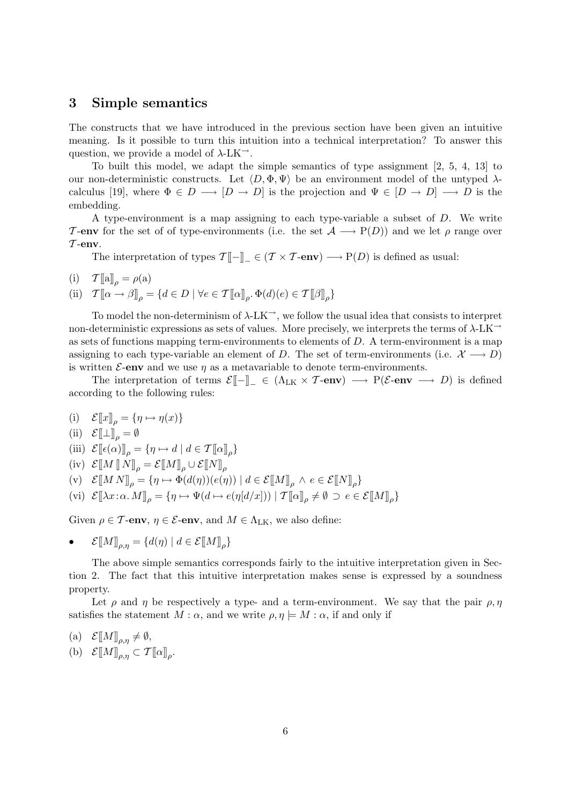### 3 Simple semantics

The constructs that we have introduced in the previous section have been given an intuitive meaning. Is it possible to turn this intuition into a technical interpretation? To answer this question, we provide a model of  $\lambda$ -LK<sup> $\rightarrow$ </sup>.

To built this model, we adapt the simple semantics of type assignment [2, 5, 4, 13] to our non-deterministic constructs. Let  $\langle D, \Phi, \Psi \rangle$  be an environment model of the untyped  $\lambda$ calculus [19], where  $\Phi \in D \longrightarrow [D \rightarrow D]$  is the projection and  $\Psi \in [D \rightarrow D] \longrightarrow D$  is the embedding.

A type-environment is a map assigning to each type-variable a subset of D. We write **T-env** for the set of of type-environments (i.e. the set  $\mathcal{A} \longrightarrow P(D)$ ) and we let  $\rho$  range over  $\tau$ -env.

The interpretation of types  $T \llbracket - \rrbracket \leq (T \times T \text{-env}) \longrightarrow P(D)$  is defined as usual:

(i) 
$$
\mathcal{T}[\![a]\!]_\rho = \rho(a)
$$

$$
\text{(ii)}\quad {\mathcal T}\llbracket \alpha\to\beta\rrbracket_\rho=\{d\in D\mid \forall e\in {\mathcal T}\llbracket\alpha\rrbracket_\rho, \Phi(d)(e)\in {\mathcal T}\llbracket\beta\rrbracket_\rho\}
$$

To model the non-determinism of  $\lambda$ -LK<sup> $\rightarrow$ </sup>, we follow the usual idea that consists to interpret non-deterministic expressions as sets of values. More precisely, we interprets the terms of  $\lambda$ -LK<sup> $\rightarrow$ </sup> as sets of functions mapping term-environments to elements of  $D$ . A term-environment is a map assigning to each type-variable an element of D. The set of term-environments (i.e.  $\mathcal{X} \longrightarrow D$ ) is written  $\mathcal{E}\text{-env}$  and we use  $\eta$  as a metavariable to denote term-environments.

The interpretation of terms  $\mathcal{E}[-]_-\in (\Lambda_{LK}\times\mathcal{T}\text{-env})\longrightarrow P(\mathcal{E}\text{-env}\longrightarrow D)$  is defined according to the following rules:

- (i)  $\mathcal{E}[[x]]_o = {\eta \mapsto \eta(x)}$
- (ii)  $\mathcal{E}[\mathbb{L}]_o = \emptyset$
- (iii)  $\mathcal{E}[\![\epsilon(\alpha)]\!]_{\rho} = {\eta \mapsto d \mid d \in \mathcal{T}[\![\alpha]\!]_{\rho}}$
- (iv)  $\mathcal{E}\llbracket M \rrbracket \, N \rrbracket_{\rho} = \mathcal{E}\llbracket M \rrbracket_{\rho} \cup \mathcal{E}\llbracket N \rrbracket_{\rho}$
- (v)  $\mathcal{E}[\![M \, N]\!]_{\rho} = {\eta \mapsto \Phi(d(\eta))(e(\eta)) \mid d \in \mathcal{E}[\![M]\!]_{\rho} \land e \in \mathcal{E}[\![N]\!]_{\rho} }$

$$
(vi) \ \mathcal{E}[\![\lambda x \!:\! \alpha \mathbf{.} M]\!]_\rho = \{ \eta \mapsto \Psi(d \mapsto e(\eta[d/x])) \mid \mathcal{T}[\![\alpha]\!]_\rho \neq \emptyset \supset e \in \mathcal{E}[\![M]\!]_\rho \}
$$

Given  $\rho \in \mathcal{T}$ -env,  $\eta \in \mathcal{E}$ -env, and  $M \in \Lambda_{LK}$ , we also define:

• 
$$
\mathcal{E}[\![M]\!]_{\rho,\eta} = \{d(\eta) \mid d \in \mathcal{E}[\![M]\!]_{\rho}\}
$$

The above simple semantics corresponds fairly to the intuitive interpretation given in Section 2. The fact that this intuitive interpretation makes sense is expressed by a soundness property.

Let  $\rho$  and  $\eta$  be respectively a type- and a term-environment. We say that the pair  $\rho$ ,  $\eta$ satisfies the statement  $M : \alpha$ , and we write  $\rho, \eta \models M : \alpha$ , if and only if

(a) 
$$
\mathcal{E}[\![M]\!]_{\rho,\eta} \neq \emptyset
$$
,  
\n(b)  $\mathcal{E}[\![M]\!]_{\rho,\eta} \subset \mathcal{T}[\![\alpha]\!]_{\rho}$ .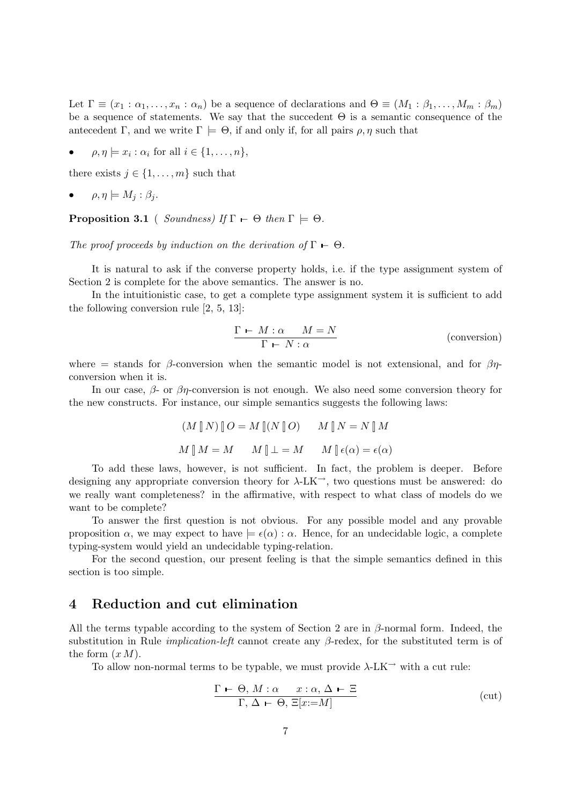Let  $\Gamma \equiv (x_1 : \alpha_1, \ldots, x_n : \alpha_n)$  be a sequence of declarations and  $\Theta \equiv (M_1 : \beta_1, \ldots, M_m : \beta_m)$ be a sequence of statements. We say that the succedent  $\Theta$  is a semantic consequence of the antecedent Γ, and we write  $\Gamma \models \Theta$ , if and only if, for all pairs  $\rho, \eta$  such that

•  $\rho, \eta \models x_i : \alpha_i \text{ for all } i \in \{1, \ldots, n\},\$ 

there exists  $j \in \{1, \ldots, m\}$  such that

$$
\bullet \qquad \rho, \eta \models M_j : \beta_j.
$$

**Proposition 3.1** ( Soundness) If  $\Gamma \vdash \Theta$  then  $\Gamma \models \Theta$ .

The proof proceeds by induction on the derivation of  $\Gamma \vdash \Theta$ .

It is natural to ask if the converse property holds, i.e. if the type assignment system of Section 2 is complete for the above semantics. The answer is no.

In the intuitionistic case, to get a complete type assignment system it is sufficient to add the following conversion rule [2, 5, 13]:

$$
\frac{\Gamma \vdash M : \alpha \qquad M = N}{\Gamma \vdash N : \alpha} \tag{conversion}
$$

where = stands for β-conversion when the semantic model is not extensional, and for  $\beta$ ηconversion when it is.

In our case,  $\beta$ - or  $\beta\eta$ -conversion is not enough. We also need some conversion theory for the new constructs. For instance, our simple semantics suggests the following laws:

$$
(M \parallel N) \parallel O = M \parallel (N \parallel O) \qquad M \parallel N = N \parallel M
$$
  

$$
M \parallel M = M \qquad M \parallel \perp = M \qquad M \parallel \epsilon(\alpha) = \epsilon(\alpha)
$$

To add these laws, however, is not sufficient. In fact, the problem is deeper. Before designing any appropriate conversion theory for  $\lambda$ -LK<sup> $\rightarrow$ </sup>, two questions must be answered: do we really want completeness? in the affirmative, with respect to what class of models do we want to be complete?

To answer the first question is not obvious. For any possible model and any provable proposition  $\alpha$ , we may expect to have  $\models \epsilon(\alpha) : \alpha$ . Hence, for an undecidable logic, a complete typing-system would yield an undecidable typing-relation.

For the second question, our present feeling is that the simple semantics defined in this section is too simple.

#### 4 Reduction and cut elimination

All the terms typable according to the system of Section 2 are in  $\beta$ -normal form. Indeed, the substitution in Rule *implication-left* cannot create any  $\beta$ -redex, for the substituted term is of the form  $(x M)$ .

To allow non-normal terms to be typable, we must provide  $\lambda$ -LK<sup> $\rightarrow$ </sup> with a cut rule:

$$
\frac{\Gamma \vdash \Theta, M : \alpha \quad x : \alpha, \Delta \vdash \Xi}{\Gamma, \Delta \vdash \Theta, \Xi[x := M]} \tag{cut}
$$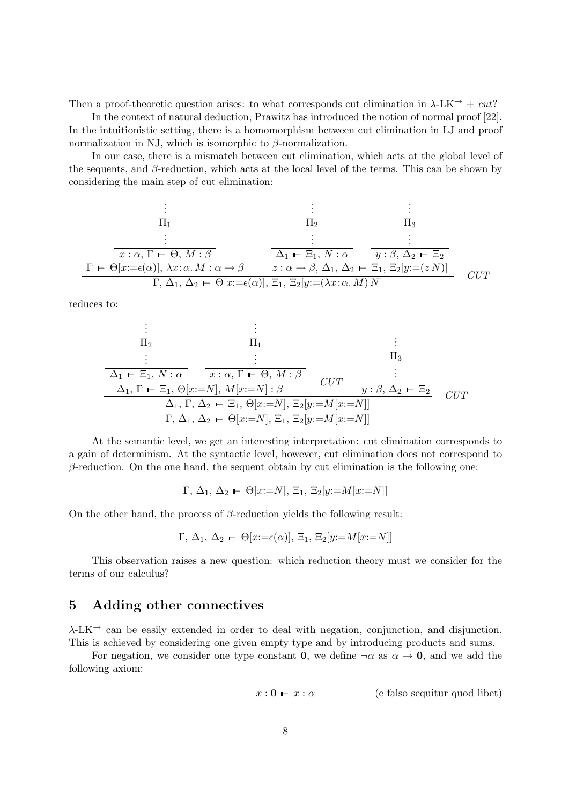Then a proof-theoretic question arises: to what corresponds cut elimination in  $\lambda$ -LK<sup> $\rightarrow$ </sup> + cut?

In the context of natural deduction, Prawitz has introduced the notion of normal proof [22]. In the intuitionistic setting, there is a homomorphism between cut elimination in LJ and proof normalization in NJ, which is isomorphic to  $β$ -normalization.

In our case, there is a mismatch between cut elimination, which acts at the global level of the sequents, and  $\beta$ -reduction, which acts at the local level of the terms. This can be shown by considering the main step of cut elimination:

$$
\begin{array}{cccc}\n\vdots & \vdots & \vdots & \vdots \\
\Pi_1 & \Pi_2 & \Pi_3 & \Pi_4 \\
\vdots & \vdots & \vdots & \vdots \\
\hline\n\pi \cdot \Theta[x := \epsilon(\alpha)], \lambda x : \alpha. M : \alpha \to \beta & \lambda_1 \vdash \Xi_1, N : \alpha & y : \beta, \Delta_2 \vdash \Xi_2 \\
\hline\n\Gamma \vdash \Theta[x := \epsilon(\alpha)], \lambda x : \alpha. M : \alpha \to \beta & z : \alpha \to \beta, \Delta_1, \Delta_2 \vdash \Xi_1, \Xi_2[y := (zN)] \\
\hline\n\Gamma, \Delta_1, \Delta_2 \vdash \Theta[x := \epsilon(\alpha)], \Xi_1, \Xi_2[y := (\lambda x : \alpha. M) N]\n\end{array}
$$
 *CUT*

reduces to:

. . . . . . . . Π<sup>2</sup> Π<sup>1</sup> . . . Π<sup>3</sup> . . . . . . ∆<sup>1</sup> − Ξ1, N : α x : α, Γ − Θ, M : β . CUT ∆1, Γ − Ξ1, Θ[x:=N], M[x:=N] : β y : β, ∆<sup>2</sup> − Ξ<sup>2</sup> CUT ∆1, Γ, ∆<sup>2</sup> − Ξ1, Θ[x:=N], Ξ2[y:=M[x:=N]] Γ, ∆1, ∆<sup>2</sup> − Θ[x:=N], Ξ1, Ξ2[y:=M[x:=N]]

At the semantic level, we get an interesting interpretation: cut elimination corresponds to a gain of determinism. At the syntactic level, however, cut elimination does not correspond to  $\beta$ -reduction. On the one hand, the sequent obtain by cut elimination is the following one:

$$
\Gamma,\,\Delta_1,\,\Delta_2\,\vdash\,\Theta[x:=\!N],\,\Xi_1,\,\Xi_2[y:=\!M[x:=\!N]]
$$

On the other hand, the process of  $\beta$ -reduction yields the following result:

$$
\Gamma, \Delta_1, \Delta_2 \vdash \Theta[x:=\epsilon(\alpha)], \Xi_1, \Xi_2[y:=M[x:=N]]
$$

This observation raises a new question: which reduction theory must we consider for the terms of our calculus?

# 5 Adding other connectives

 $\lambda$ -LK<sup> $\rightarrow$ </sup> can be easily extended in order to deal with negation, conjunction, and disjunction. This is achieved by considering one given empty type and by introducing products and sums.

For negation, we consider one type constant **0**, we define  $\neg \alpha$  as  $\alpha \rightarrow 0$ , and we add the following axiom:

$$
x: \mathbf{0} \vdash x: \alpha \qquad \qquad \text{(e false sequitur quod libet)}
$$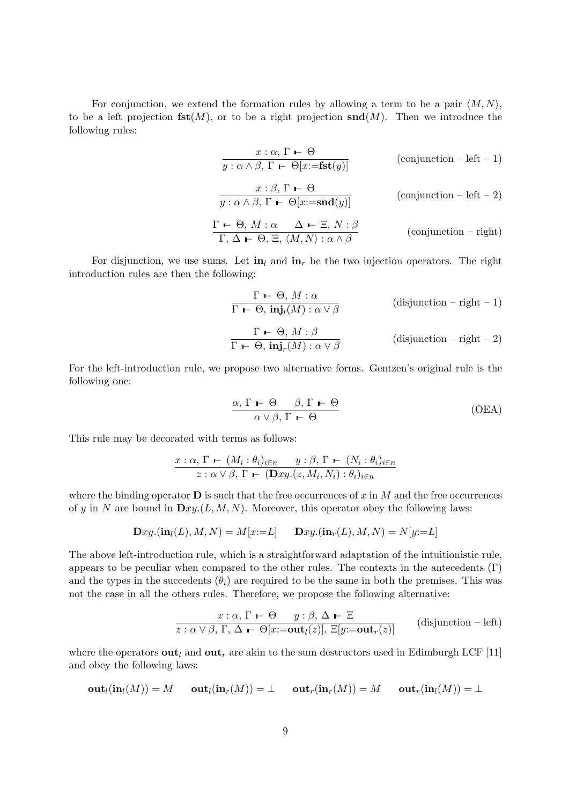For conjunction, we extend the formation rules by allowing a term to be a pair  $\langle M, N \rangle$ , to be a left projection  $\text{fst}(M)$ , or to be a right projection  $\text{snd}(M)$ . Then we introduce the following rules:

$$
\frac{x:\alpha, \Gamma \vdash \Theta}{y:\alpha \land \beta, \Gamma \vdash \Theta[x:=\textbf{fst}(y)]}
$$
 (conjunction – left – 1)  

$$
\frac{x:\beta, \Gamma \vdash \Theta}{y:\alpha \land \beta, \Gamma \vdash \Theta[x:=\textbf{snd}(y)]}
$$
 (conjunction – left – 2)  

$$
\frac{\Gamma \vdash \Theta, M:\alpha \quad \Delta \vdash \Xi, N:\beta}{\Gamma, \Delta \vdash \Theta, \Xi, \langle M, N \rangle : \alpha \land \beta}
$$
 (conjunction – right)

For disjunction, we use sums. Let  $\mathbf{in}_l$  and  $\mathbf{in}_r$  be the two injection operators. The right introduction rules are then the following:

$$
\frac{\Gamma \vdash \Theta, M : \alpha}{\Gamma \vdash \Theta, \mathbf{inj}_l(M) : \alpha \vee \beta}
$$
 (disjunction - right - 1)  

$$
\frac{\Gamma \vdash \Theta, M : \beta}{\Gamma \vdash \Theta, \mathbf{inj}_r(M) : \alpha \vee \beta}
$$
 (disjunction - right - 2)

For the left-introduction rule, we propose two alternative forms. Gentzen's original rule is the following one:

$$
\frac{\alpha, \Gamma \vdash \Theta \quad \beta, \Gamma \vdash \Theta}{\alpha \vee \beta, \Gamma \vdash \Theta} \tag{OEA}
$$

This rule may be decorated with terms as follows:

$$
\frac{x:\alpha, \Gamma \vdash (M_i : \theta_i)_{i \in n} \qquad y : \beta, \Gamma \vdash (N_i : \theta_i)_{i \in n}}{z : \alpha \vee \beta, \Gamma \vdash (\mathbf{D}xy.(z, M_i, N_i) : \theta_i)_{i \in n}}
$$

where the binding operator  $\bf{D}$  is such that the free occurrences of x in M and the free occurrences of y in N are bound in  $\mathbf{D}xy.(L, M, N)$ . Moreover, this operator obey the following laws:

$$
\mathbf{D} xy.(\mathbf{in}_l(L), M, N) = M[x:=L] \qquad \mathbf{D} xy.(\mathbf{in}_r(L), M, N) = N[y:=L]
$$

The above left-introduction rule, which is a straightforward adaptation of the intuitionistic rule, appears to be peculiar when compared to the other rules. The contexts in the antecedents (Γ) and the types in the succedents  $(\theta_i)$  are required to be the same in both the premises. This was not the case in all the others rules. Therefore, we propose the following alternative:

$$
\frac{x:\alpha, \Gamma \vdash \Theta \quad y:\beta, \Delta \vdash \Xi}{z:\alpha \vee \beta, \Gamma, \Delta \vdash \Theta[x:=\textbf{out}_l(z)], \Xi[y:=\textbf{out}_r(z)]}
$$
 (disjunction – left)

where the operators  $\text{out}_l$  and  $\text{out}_r$  are akin to the sum destructors used in Edimburgh LCF [11] and obey the following laws:

$$
\mathbf{out}_l(\mathbf{in}_l(M)) = M \qquad \mathbf{out}_l(\mathbf{in}_r(M)) = \bot \qquad \mathbf{out}_r(\mathbf{in}_r(M)) = M \qquad \mathbf{out}_r(\mathbf{in}_l(M)) = \bot
$$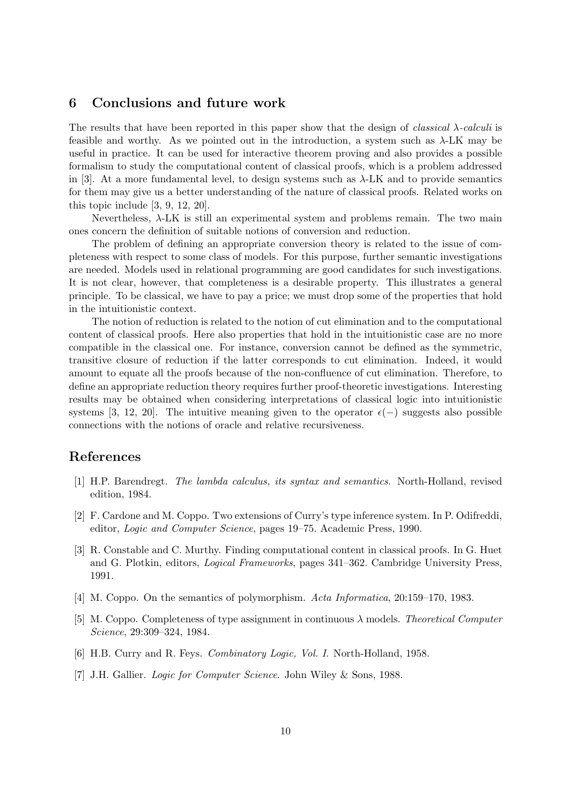# 6 Conclusions and future work

The results that have been reported in this paper show that the design of *classical*  $\lambda$ -calculi is feasible and worthy. As we pointed out in the introduction, a system such as  $\lambda$ -LK may be useful in practice. It can be used for interactive theorem proving and also provides a possible formalism to study the computational content of classical proofs, which is a problem addressed in [3]. At a more fundamental level, to design systems such as  $\lambda$ -LK and to provide semantics for them may give us a better understanding of the nature of classical proofs. Related works on this topic include [3, 9, 12, 20].

Nevertheless, λ-LK is still an experimental system and problems remain. The two main ones concern the definition of suitable notions of conversion and reduction.

The problem of defining an appropriate conversion theory is related to the issue of completeness with respect to some class of models. For this purpose, further semantic investigations are needed. Models used in relational programming are good candidates for such investigations. It is not clear, however, that completeness is a desirable property. This illustrates a general principle. To be classical, we have to pay a price; we must drop some of the properties that hold in the intuitionistic context.

The notion of reduction is related to the notion of cut elimination and to the computational content of classical proofs. Here also properties that hold in the intuitionistic case are no more compatible in the classical one. For instance, conversion cannot be defined as the symmetric, transitive closure of reduction if the latter corresponds to cut elimination. Indeed, it would amount to equate all the proofs because of the non-confluence of cut elimination. Therefore, to define an appropriate reduction theory requires further proof-theoretic investigations. Interesting results may be obtained when considering interpretations of classical logic into intuitionistic systems [3, 12, 20]. The intuitive meaning given to the operator  $\epsilon(-)$  suggests also possible connections with the notions of oracle and relative recursiveness.

# References

- [1] H.P. Barendregt. The lambda calculus, its syntax and semantics. North-Holland, revised edition, 1984.
- [2] F. Cardone and M. Coppo. Two extensions of Curry's type inference system. In P. Odifreddi, editor, Logic and Computer Science, pages 19–75. Academic Press, 1990.
- [3] R. Constable and C. Murthy. Finding computational content in classical proofs. In G. Huet and G. Plotkin, editors, Logical Frameworks, pages 341–362. Cambridge University Press, 1991.
- [4] M. Coppo. On the semantics of polymorphism. Acta Informatica, 20:159–170, 1983.
- [5] M. Coppo. Completeness of type assignment in continuous  $\lambda$  models. Theoretical Computer Science, 29:309–324, 1984.
- [6] H.B. Curry and R. Feys. Combinatory Logic, Vol. I. North-Holland, 1958.
- [7] J.H. Gallier. *Logic for Computer Science*. John Wiley & Sons, 1988.